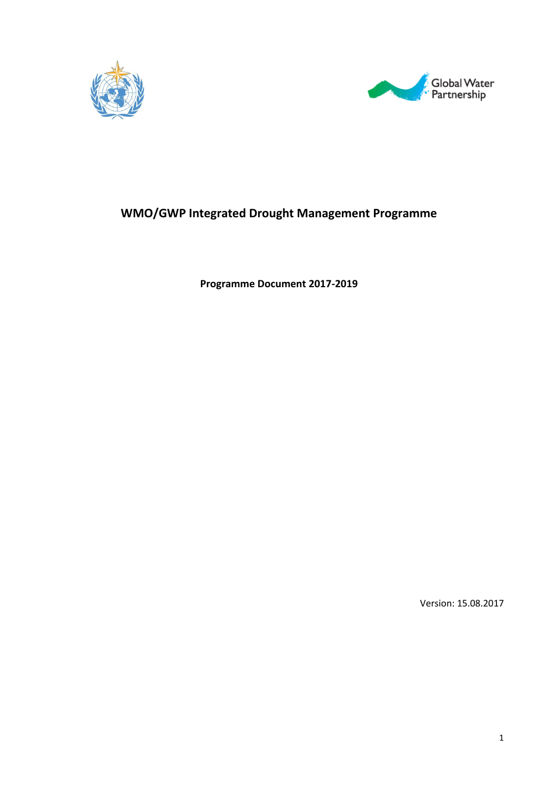



## **WMO/GWP Integrated Drought Management Programme**

**Programme Document 2017-2019**

Version: 15.08.2017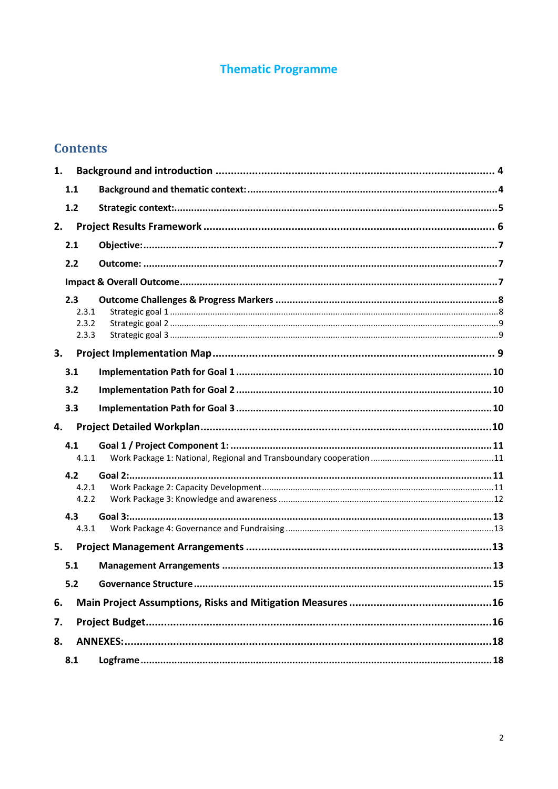## **Thematic Programme**

## **Contents**

| 1. |                                |                                    |  |
|----|--------------------------------|------------------------------------|--|
|    | 1.1                            |                                    |  |
|    | 1.2                            |                                    |  |
| 2. |                                |                                    |  |
|    | 2.1                            |                                    |  |
|    | 2.2                            |                                    |  |
|    |                                |                                    |  |
|    | 2.3<br>2.3.1<br>2.3.2<br>2.3.3 |                                    |  |
| 3. |                                |                                    |  |
|    | 3.1                            |                                    |  |
|    | 3.2                            |                                    |  |
|    | 3.3                            |                                    |  |
|    |                                |                                    |  |
| 4. |                                |                                    |  |
|    | 4.1<br>4.1.1                   |                                    |  |
|    | 4.2                            |                                    |  |
|    | 4.2.1                          |                                    |  |
|    | 4.2.2                          |                                    |  |
|    | 4.3<br>4.3.1                   |                                    |  |
| 5. |                                |                                    |  |
|    | 5.1                            |                                    |  |
|    | 5.2                            | 15<br><b>Governance Structure.</b> |  |
| 6. |                                |                                    |  |
| 7. |                                |                                    |  |
| 8. |                                |                                    |  |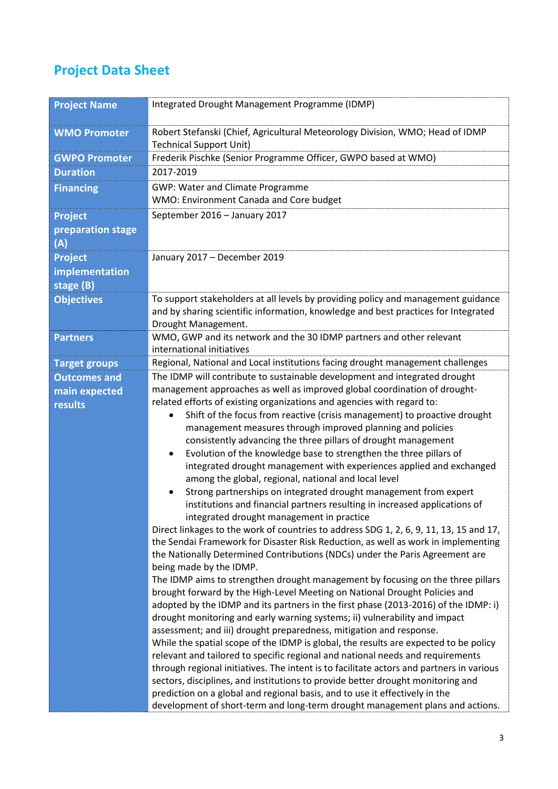# **Project Data Sheet**

| <b>Project Name</b>  | Integrated Drought Management Programme (IDMP)                                                                                                                             |
|----------------------|----------------------------------------------------------------------------------------------------------------------------------------------------------------------------|
| <b>WMO Promoter</b>  | Robert Stefanski (Chief, Agricultural Meteorology Division, WMO; Head of IDMP<br><b>Technical Support Unit)</b>                                                            |
| <b>GWPO Promoter</b> | Frederik Pischke (Senior Programme Officer, GWPO based at WMO)                                                                                                             |
| <b>Duration</b>      | 2017-2019                                                                                                                                                                  |
| <b>Financing</b>     | GWP: Water and Climate Programme                                                                                                                                           |
|                      | WMO: Environment Canada and Core budget                                                                                                                                    |
| <b>Project</b>       | September 2016 - January 2017                                                                                                                                              |
| preparation stage    |                                                                                                                                                                            |
| (A)                  |                                                                                                                                                                            |
| <b>Project</b>       | January 2017 - December 2019                                                                                                                                               |
| implementation       |                                                                                                                                                                            |
| stage (B)            |                                                                                                                                                                            |
| <b>Objectives</b>    | To support stakeholders at all levels by providing policy and management guidance<br>and by sharing scientific information, knowledge and best practices for Integrated    |
|                      | Drought Management.                                                                                                                                                        |
| <b>Partners</b>      | WMO, GWP and its network and the 30 IDMP partners and other relevant<br>international initiatives                                                                          |
| <b>Target groups</b> | Regional, National and Local institutions facing drought management challenges                                                                                             |
| <b>Outcomes and</b>  | The IDMP will contribute to sustainable development and integrated drought                                                                                                 |
| main expected        | management approaches as well as improved global coordination of drought-                                                                                                  |
| results              | related efforts of existing organizations and agencies with regard to:                                                                                                     |
|                      | Shift of the focus from reactive (crisis management) to proactive drought                                                                                                  |
|                      | management measures through improved planning and policies                                                                                                                 |
|                      | consistently advancing the three pillars of drought management                                                                                                             |
|                      | Evolution of the knowledge base to strengthen the three pillars of<br>$\bullet$<br>integrated drought management with experiences applied and exchanged                    |
|                      | among the global, regional, national and local level                                                                                                                       |
|                      | Strong partnerships on integrated drought management from expert                                                                                                           |
|                      | institutions and financial partners resulting in increased applications of                                                                                                 |
|                      | integrated drought management in practice<br>Direct linkages to the work of countries to address SDG 1, 2, 6, 9, 11, 13, 15 and 17,                                        |
|                      | the Sendai Framework for Disaster Risk Reduction, as well as work in implementing                                                                                          |
|                      | the Nationally Determined Contributions (NDCs) under the Paris Agreement are                                                                                               |
|                      | being made by the IDMP.                                                                                                                                                    |
|                      | The IDMP aims to strengthen drought management by focusing on the three pillars                                                                                            |
|                      | brought forward by the High-Level Meeting on National Drought Policies and                                                                                                 |
|                      | adopted by the IDMP and its partners in the first phase (2013-2016) of the IDMP: i)                                                                                        |
|                      | drought monitoring and early warning systems; ii) vulnerability and impact                                                                                                 |
|                      | assessment; and iii) drought preparedness, mitigation and response.                                                                                                        |
|                      | While the spatial scope of the IDMP is global, the results are expected to be policy                                                                                       |
|                      | relevant and tailored to specific regional and national needs and requirements<br>through regional initiatives. The intent is to facilitate actors and partners in various |
|                      | sectors, disciplines, and institutions to provide better drought monitoring and                                                                                            |
|                      | prediction on a global and regional basis, and to use it effectively in the                                                                                                |
|                      | development of short-term and long-term drought management plans and actions.                                                                                              |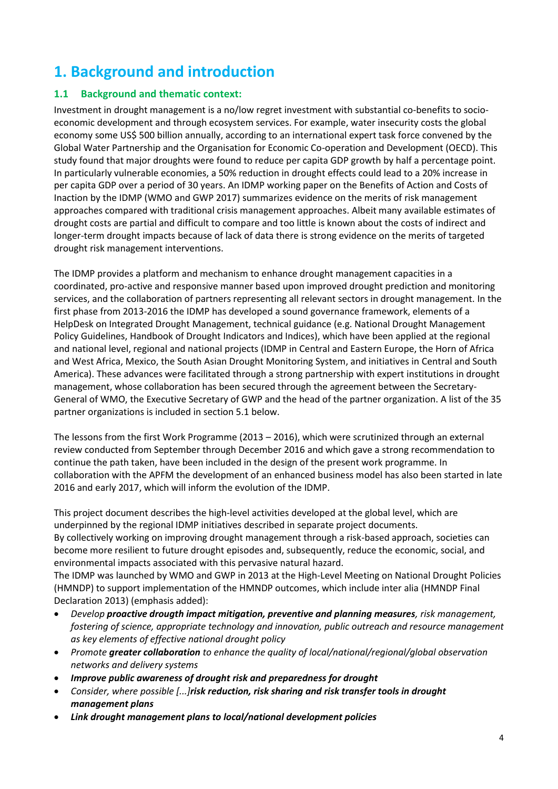# <span id="page-3-0"></span>**1. Background and introduction**

## <span id="page-3-1"></span>**1.1 Background and thematic context:**

Investment in drought management is a no/low regret investment with substantial co-benefits to socioeconomic development and through ecosystem services. For example, water insecurity costs the global economy some US\$ 500 billion annually, according to an international expert task force convened by the Global Water Partnership and the Organisation for Economic Co-operation and Development (OECD). This study found that major droughts were found to reduce per capita GDP growth by half a percentage point. In particularly vulnerable economies, a 50% reduction in drought effects could lead to a 20% increase in per capita GDP over a period of 30 years. An IDMP working paper on the Benefits of Action and Costs of Inaction by the IDMP (WMO and GWP 2017) summarizes evidence on the merits of risk management approaches compared with traditional crisis management approaches. Albeit many available estimates of drought costs are partial and difficult to compare and too little is known about the costs of indirect and longer-term drought impacts because of lack of data there is strong evidence on the merits of targeted drought risk management interventions.

The IDMP provides a platform and mechanism to enhance drought management capacities in a coordinated, pro-active and responsive manner based upon improved drought prediction and monitoring services, and the collaboration of partners representing all relevant sectors in drought management. In the first phase from 2013-2016 the IDMP has developed a sound governance framework, elements of a HelpDesk on Integrated Drought Management, technical guidance (e.g. National Drought Management Policy Guidelines, Handbook of Drought Indicators and Indices), which have been applied at the regional and national level, regional and national projects (IDMP in Central and Eastern Europe, the Horn of Africa and West Africa, Mexico, the South Asian Drought Monitoring System, and initiatives in Central and South America). These advances were facilitated through a strong partnership with expert institutions in drought management, whose collaboration has been secured through the agreement between the Secretary-General of WMO, the Executive Secretary of GWP and the head of the partner organization. A list of the 35 partner organizations is included in section 5.1 below.

The lessons from the first Work Programme (2013 – 2016), which were scrutinized through an external review conducted from September through December 2016 and which gave a strong recommendation to continue the path taken, have been included in the design of the present work programme. In collaboration with the APFM the development of an enhanced business model has also been started in late 2016 and early 2017, which will inform the evolution of the IDMP.

This project document describes the high-level activities developed at the global level, which are underpinned by the regional IDMP initiatives described in separate project documents. By collectively working on improving drought management through a risk-based approach, societies can become more resilient to future drought episodes and, subsequently, reduce the economic, social, and environmental impacts associated with this pervasive natural hazard.

The IDMP was launched by WMO and GWP in 2013 at the High-Level Meeting on National Drought Policies (HMNDP) to support implementation of the HMNDP outcomes, which include inter alia (HMNDP Final Declaration 2013) (emphasis added):

- *Develop proactive drougth impact mitigation, preventive and planning measures, risk management, fostering of science, appropriate technology and innovation, public outreach and resource management as key elements of effective national drought policy*
- *Promote greater collaboration to enhance the quality of local/national/regional/global observation networks and delivery systems*
- *Improve public awareness of drought risk and preparedness for drought*
- *Consider, where possible [...]risk reduction, risk sharing and risk transfer tools in drought management plans*
- *Link drought management plans to local/national development policies*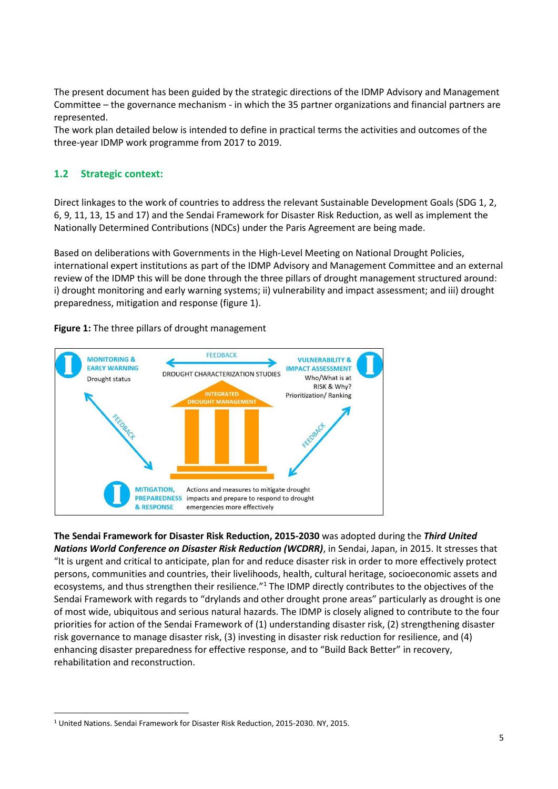The present document has been guided by the strategic directions of the IDMP Advisory and Management Committee – the governance mechanism - in which the 35 partner organizations and financial partners are represented.

The work plan detailed below is intended to define in practical terms the activities and outcomes of the three-year IDMP work programme from 2017 to 2019.

## <span id="page-4-0"></span>**1.2 Strategic context:**

Direct linkages to the work of countries to address the relevant Sustainable Development Goals (SDG 1, 2, 6, 9, 11, 13, 15 and 17) and the Sendai Framework for Disaster Risk Reduction, as well as implement the Nationally Determined Contributions (NDCs) under the Paris Agreement are being made.

Based on deliberations with Governments in the High-Level Meeting on National Drought Policies, international expert institutions as part of the IDMP Advisory and Management Committee and an external review of the IDMP this will be done through the three pillars of drought management structured around: i) drought monitoring and early warning systems; ii) vulnerability and impact assessment; and iii) drought preparedness, mitigation and response (figure 1).





**The Sendai Framework for Disaster Risk Reduction, 2015-2030** was adopted during the *Third United Nations World Conference on Disaster Risk Reduction (WCDRR)*, in Sendai, Japan, in 2015. It stresses that "It is urgent and critical to anticipate, plan for and reduce disaster risk in order to more effectively protect persons, communities and countries, their livelihoods, health, cultural heritage, socioeconomic assets and ecosystems, and thus strengthen their resilience."<sup>1</sup> The IDMP directly contributes to the objectives of the Sendai Framework with regards to "drylands and other drought prone areas" particularly as drought is one of most wide, ubiquitous and serious natural hazards. The IDMP is closely aligned to contribute to the four priorities for action of the Sendai Framework of (1) understanding disaster risk, (2) strengthening disaster risk governance to manage disaster risk, (3) investing in disaster risk reduction for resilience, and (4) enhancing disaster preparedness for effective response, and to "Build Back Better" in recovery, rehabilitation and reconstruction.

 $\overline{a}$ <sup>1</sup> United Nations. Sendai Framework for Disaster Risk Reduction, 2015-2030. NY, 2015.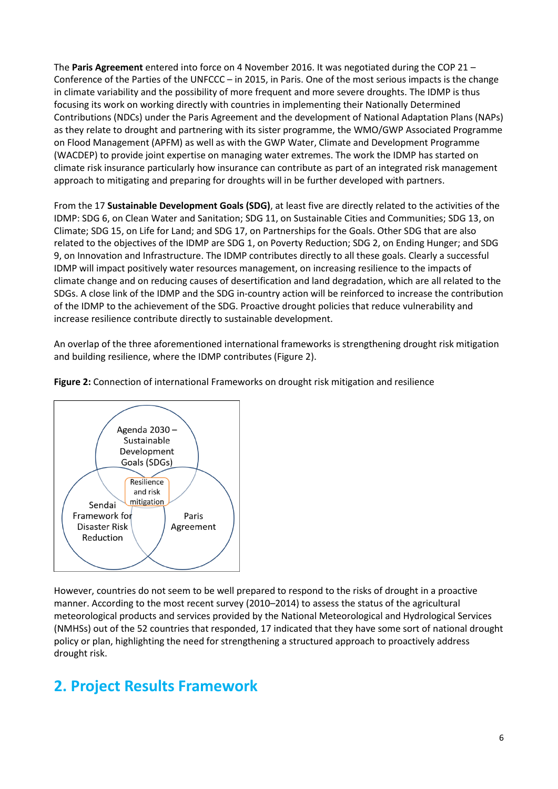The **Paris Agreement** entered into force on 4 November 2016. It was negotiated during the COP 21 – Conference of the Parties of the UNFCCC – in 2015, in Paris. One of the most serious impacts is the change in climate variability and the possibility of more frequent and more severe droughts. The IDMP is thus focusing its work on working directly with countries in implementing their Nationally Determined Contributions (NDCs) under the Paris Agreement and the development of National Adaptation Plans (NAPs) as they relate to drought and partnering with its sister programme, the WMO/GWP Associated Programme on Flood Management (APFM) as well as with the GWP Water, Climate and Development Programme (WACDEP) to provide joint expertise on managing water extremes. The work the IDMP has started on climate risk insurance particularly how insurance can contribute as part of an integrated risk management approach to mitigating and preparing for droughts will in be further developed with partners.

From the 17 **Sustainable Development Goals (SDG)**, at least five are directly related to the activities of the IDMP: SDG 6, on Clean Water and Sanitation; SDG 11, on Sustainable Cities and Communities; SDG 13, on Climate; SDG 15, on Life for Land; and SDG 17, on Partnerships for the Goals. Other SDG that are also related to the objectives of the IDMP are SDG 1, on Poverty Reduction; SDG 2, on Ending Hunger; and SDG 9, on Innovation and Infrastructure. The IDMP contributes directly to all these goals. Clearly a successful IDMP will impact positively water resources management, on increasing resilience to the impacts of climate change and on reducing causes of desertification and land degradation, which are all related to the SDGs. A close link of the IDMP and the SDG in-country action will be reinforced to increase the contribution of the IDMP to the achievement of the SDG. Proactive drought policies that reduce vulnerability and increase resilience contribute directly to sustainable development.

An overlap of the three aforementioned international frameworks is strengthening drought risk mitigation and building resilience, where the IDMP contributes (Figure 2).





However, countries do not seem to be well prepared to respond to the risks of drought in a proactive manner. According to the most recent survey (2010–2014) to assess the status of the agricultural meteorological products and services provided by the National Meteorological and Hydrological Services (NMHSs) out of the 52 countries that responded, 17 indicated that they have some sort of national drought policy or plan, highlighting the need for strengthening a structured approach to proactively address drought risk.

## <span id="page-5-0"></span>**2. Project Results Framework**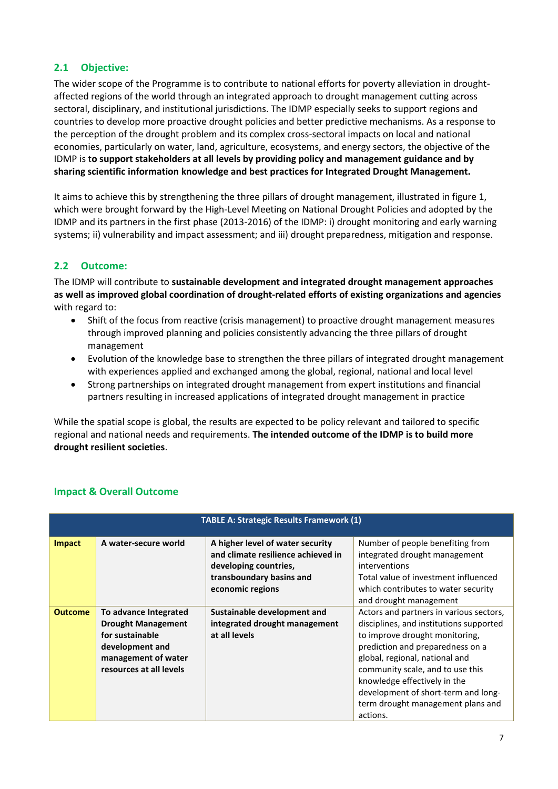## <span id="page-6-0"></span>**2.1 Objective:**

The wider scope of the Programme is to contribute to national efforts for poverty alleviation in droughtaffected regions of the world through an integrated approach to drought management cutting across sectoral, disciplinary, and institutional jurisdictions. The IDMP especially seeks to support regions and countries to develop more proactive drought policies and better predictive mechanisms. As a response to the perception of the drought problem and its complex cross-sectoral impacts on local and national economies, particularly on water, land, agriculture, ecosystems, and energy sectors, the objective of the IDMP is t**o support stakeholders at all levels by providing policy and management guidance and by sharing scientific information knowledge and best practices for Integrated Drought Management.**

It aims to achieve this by strengthening the three pillars of drought management, illustrated in figure 1, which were brought forward by the High-Level Meeting on National Drought Policies and adopted by the IDMP and its partners in the first phase (2013-2016) of the IDMP: i) drought monitoring and early warning systems; ii) vulnerability and impact assessment; and iii) drought preparedness, mitigation and response.

## <span id="page-6-1"></span>**2.2 Outcome:**

The IDMP will contribute to **sustainable development and integrated drought management approaches as well as improved global coordination of drought-related efforts of existing organizations and agencies** with regard to:

- Shift of the focus from reactive (crisis management) to proactive drought management measures through improved planning and policies consistently advancing the three pillars of drought management
- Evolution of the knowledge base to strengthen the three pillars of integrated drought management with experiences applied and exchanged among the global, regional, national and local level
- Strong partnerships on integrated drought management from expert institutions and financial partners resulting in increased applications of integrated drought management in practice

While the spatial scope is global, the results are expected to be policy relevant and tailored to specific regional and national needs and requirements. **The intended outcome of the IDMP is to build more drought resilient societies**.

|                | <b>TABLE A: Strategic Results Framework (1)</b>                                                                                            |                                                                                                                                                 |                                                                                                                                                                                                                                                                                                                                                        |  |  |
|----------------|--------------------------------------------------------------------------------------------------------------------------------------------|-------------------------------------------------------------------------------------------------------------------------------------------------|--------------------------------------------------------------------------------------------------------------------------------------------------------------------------------------------------------------------------------------------------------------------------------------------------------------------------------------------------------|--|--|
| <b>Impact</b>  | A water-secure world                                                                                                                       | A higher level of water security<br>and climate resilience achieved in<br>developing countries,<br>transboundary basins and<br>economic regions | Number of people benefiting from<br>integrated drought management<br>interventions<br>Total value of investment influenced<br>which contributes to water security<br>and drought management                                                                                                                                                            |  |  |
| <b>Outcome</b> | To advance Integrated<br><b>Drought Management</b><br>for sustainable<br>development and<br>management of water<br>resources at all levels | Sustainable development and<br>integrated drought management<br>at all levels                                                                   | Actors and partners in various sectors,<br>disciplines, and institutions supported<br>to improve drought monitoring,<br>prediction and preparedness on a<br>global, regional, national and<br>community scale, and to use this<br>knowledge effectively in the<br>development of short-term and long-<br>term drought management plans and<br>actions. |  |  |

## <span id="page-6-2"></span>**Impact & Overall Outcome**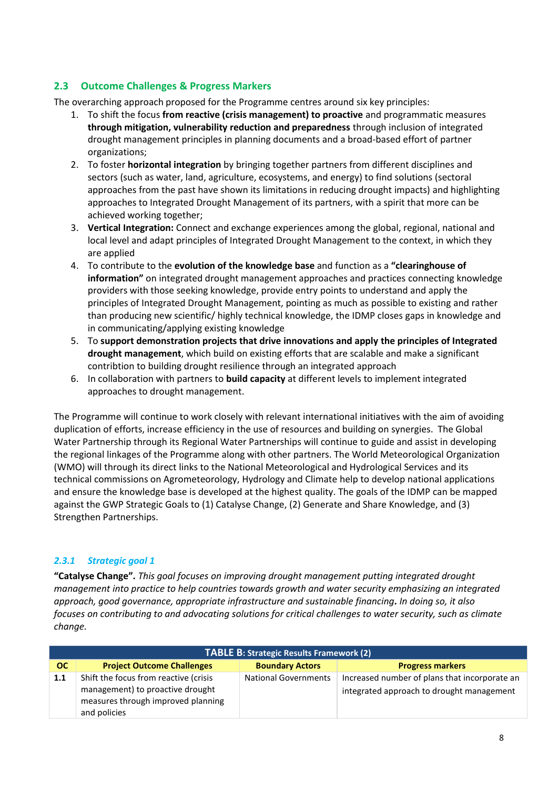## <span id="page-7-0"></span>**2.3 Outcome Challenges & Progress Markers**

The overarching approach proposed for the Programme centres around six key principles:

- 1. To shift the focus **from reactive (crisis management) to proactive** and programmatic measures **through mitigation, vulnerability reduction and preparedness** through inclusion of integrated drought management principles in planning documents and a broad-based effort of partner organizations;
- 2. To foster **horizontal integration** by bringing together partners from different disciplines and sectors (such as water, land, agriculture, ecosystems, and energy) to find solutions (sectoral approaches from the past have shown its limitations in reducing drought impacts) and highlighting approaches to Integrated Drought Management of its partners, with a spirit that more can be achieved working together;
- 3. **Vertical Integration:** Connect and exchange experiences among the global, regional, national and local level and adapt principles of Integrated Drought Management to the context, in which they are applied
- 4. To contribute to the **evolution of the knowledge base** and function as a **"clearinghouse of information"** on integrated drought management approaches and practices connecting knowledge providers with those seeking knowledge, provide entry points to understand and apply the principles of Integrated Drought Management, pointing as much as possible to existing and rather than producing new scientific/ highly technical knowledge, the IDMP closes gaps in knowledge and in communicating/applying existing knowledge
- 5. To **support demonstration projects that drive innovations and apply the principles of Integrated drought management**, which build on existing efforts that are scalable and make a significant contribtion to building drought resilience through an integrated approach
- 6. In collaboration with partners to **build capacity** at different levels to implement integrated approaches to drought management.

The Programme will continue to work closely with relevant international initiatives with the aim of avoiding duplication of efforts, increase efficiency in the use of resources and building on synergies. The Global Water Partnership through its Regional Water Partnerships will continue to guide and assist in developing the regional linkages of the Programme along with other partners. The World Meteorological Organization (WMO) will through its direct links to the National Meteorological and Hydrological Services and its technical commissions on Agrometeorology, Hydrology and Climate help to develop national applications and ensure the knowledge base is developed at the highest quality. The goals of the IDMP can be mapped against the GWP Strategic Goals to (1) Catalyse Change, (2) Generate and Share Knowledge, and (3) Strengthen Partnerships.

## <span id="page-7-1"></span>*2.3.1 Strategic goal 1*

**"Catalyse Change".** *This goal focuses on improving drought management putting integrated drought management into practice to help countries towards growth and water security emphasizing an integrated approach, good governance, appropriate infrastructure and sustainable financing***.** *In doing so, it also focuses on contributing to and advocating solutions for critical challenges to water security, such as climate change.*

|     | <b>TABLE B: Strategic Results Framework (2)</b>                                                                                 |                             |                                                                                            |  |  |  |
|-----|---------------------------------------------------------------------------------------------------------------------------------|-----------------------------|--------------------------------------------------------------------------------------------|--|--|--|
| OC. | <b>Project Outcome Challenges</b>                                                                                               | <b>Boundary Actors</b>      | <b>Progress markers</b>                                                                    |  |  |  |
| 1.1 | Shift the focus from reactive (crisis<br>management) to proactive drought<br>measures through improved planning<br>and policies | <b>National Governments</b> | Increased number of plans that incorporate an<br>integrated approach to drought management |  |  |  |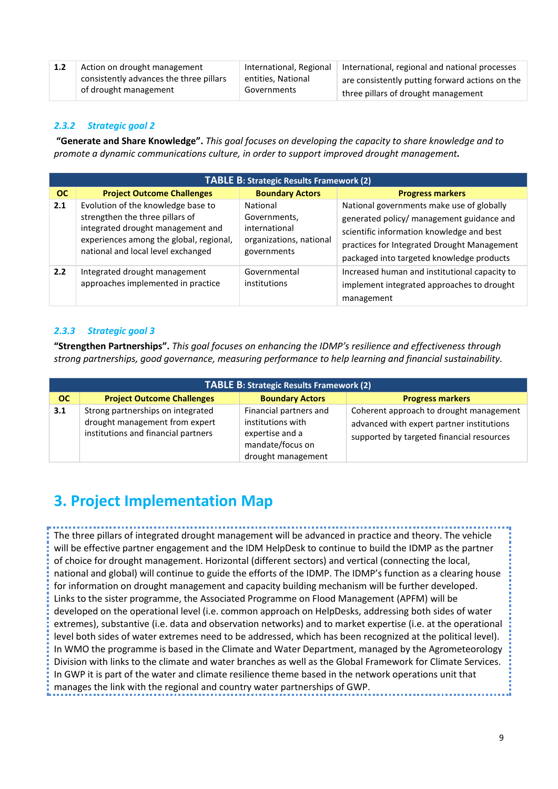| Action on drought management            | International, Regional | International, regional and national processes  |
|-----------------------------------------|-------------------------|-------------------------------------------------|
| consistently advances the three pillars | entities, National      | are consistently putting forward actions on the |
| of drought management                   | Governments             | three pillars of drought management             |

#### <span id="page-8-0"></span>*2.3.2 Strategic goal 2*

**"Generate and Share Knowledge".** *This goal focuses on developing the capacity to share knowledge and to promote a dynamic communications culture, in order to support improved drought management.*

| <b>TABLE B: Strategic Results Framework (2)</b> |                                                                                                                                                                                             |                                                                                     |                                                                                                                                                                                                                                 |  |  |
|-------------------------------------------------|---------------------------------------------------------------------------------------------------------------------------------------------------------------------------------------------|-------------------------------------------------------------------------------------|---------------------------------------------------------------------------------------------------------------------------------------------------------------------------------------------------------------------------------|--|--|
| <b>OC</b>                                       | <b>Project Outcome Challenges</b>                                                                                                                                                           | <b>Boundary Actors</b>                                                              | <b>Progress markers</b>                                                                                                                                                                                                         |  |  |
| 2.1                                             | Evolution of the knowledge base to<br>strengthen the three pillars of<br>integrated drought management and<br>experiences among the global, regional,<br>national and local level exchanged | National<br>Governments,<br>international<br>organizations, national<br>governments | National governments make use of globally<br>generated policy/ management guidance and<br>scientific information knowledge and best<br>practices for Integrated Drought Management<br>packaged into targeted knowledge products |  |  |
| 2.2                                             | Integrated drought management<br>approaches implemented in practice                                                                                                                         | Governmental<br>institutions                                                        | Increased human and institutional capacity to<br>implement integrated approaches to drought<br>management                                                                                                                       |  |  |

## <span id="page-8-1"></span>*2.3.3 Strategic goal 3*

**"Strengthen Partnerships".** *This goal focuses on enhancing the IDMP's resilience and effectiveness through strong partnerships, good governance, measuring performance to help learning and financial sustainability.*

| TABLE B: Strategic Results Framework (2) |                                                                                                            |                                                                                                          |                                                                                                                                   |  |  |
|------------------------------------------|------------------------------------------------------------------------------------------------------------|----------------------------------------------------------------------------------------------------------|-----------------------------------------------------------------------------------------------------------------------------------|--|--|
| <b>OC</b>                                | <b>Project Outcome Challenges</b>                                                                          | <b>Boundary Actors</b>                                                                                   | <b>Progress markers</b>                                                                                                           |  |  |
| 3.1                                      | Strong partnerships on integrated<br>drought management from expert<br>institutions and financial partners | Financial partners and<br>institutions with<br>expertise and a<br>mandate/focus on<br>drought management | Coherent approach to drought management<br>advanced with expert partner institutions<br>supported by targeted financial resources |  |  |

## <span id="page-8-2"></span>**3. Project Implementation Map**

The three pillars of integrated drought management will be advanced in practice and theory. The vehicle will be effective partner engagement and the IDM HelpDesk to continue to build the IDMP as the partner of choice for drought management. Horizontal (different sectors) and vertical (connecting the local, national and global) will continue to guide the efforts of the IDMP. The IDMP's function as a clearing house for information on drought management and capacity building mechanism will be further developed. Links to the sister programme, the Associated Programme on Flood Management (APFM) will be developed on the operational level (i.e. common approach on HelpDesks, addressing both sides of water extremes), substantive (i.e. data and observation networks) and to market expertise (i.e. at the operational level both sides of water extremes need to be addressed, which has been recognized at the political level). In WMO the programme is based in the Climate and Water Department, managed by the Agrometeorology Division with links to the climate and water branches as well as the Global Framework for Climate Services. In GWP it is part of the water and climate resilience theme based in the network operations unit that manages the link with the regional and country water partnerships of GWP.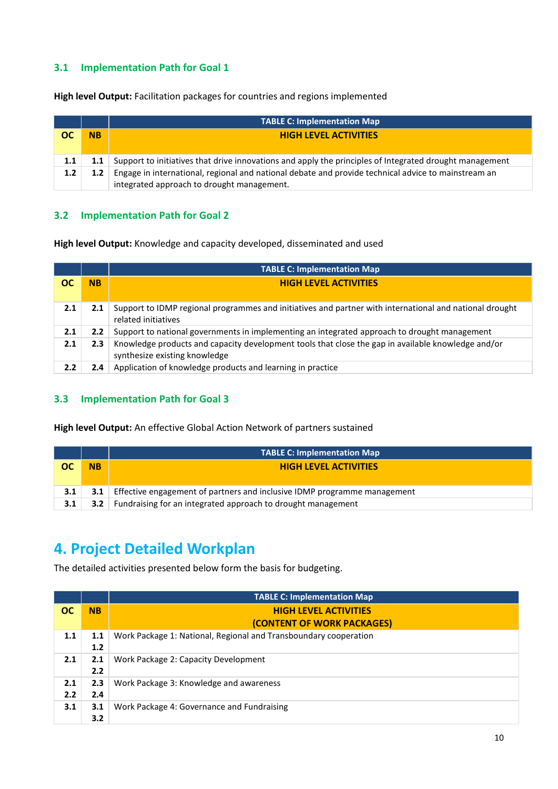## <span id="page-9-0"></span>**3.1 Implementation Path for Goal 1**

**High level Output:** Facilitation packages for countries and regions implemented

|     |           | <b>TABLE C: Implementation Map</b>                                                                      |  |  |
|-----|-----------|---------------------------------------------------------------------------------------------------------|--|--|
| ОС  | <b>NB</b> | <b>HIGH LEVEL ACTIVITIES</b>                                                                            |  |  |
|     |           |                                                                                                         |  |  |
| 1.1 |           | Support to initiatives that drive innovations and apply the principles of Integrated drought management |  |  |
| 1.2 | 1.2       | Engage in international, regional and national debate and provide technical advice to mainstream an     |  |  |
|     |           | integrated approach to drought management.                                                              |  |  |

## <span id="page-9-1"></span>**3.2 Implementation Path for Goal 2**

**High level Output:** Knowledge and capacity developed, disseminated and used

|     |           | <b>TABLE C: Implementation Map</b>                                                                                                  |  |  |
|-----|-----------|-------------------------------------------------------------------------------------------------------------------------------------|--|--|
| ОC  | <b>NB</b> | <b>HIGH LEVEL ACTIVITIES</b>                                                                                                        |  |  |
|     |           |                                                                                                                                     |  |  |
| 2.1 | 2.1       | Support to IDMP regional programmes and initiatives and partner with international and national drought<br>related initiatives      |  |  |
| 2.1 | 2.2       | Support to national governments in implementing an integrated approach to drought management                                        |  |  |
| 2.1 | 2.3       | Knowledge products and capacity development tools that close the gap in available knowledge and/or<br>synthesize existing knowledge |  |  |
| 2.2 | 2.4       | Application of knowledge products and learning in practice                                                                          |  |  |

## <span id="page-9-2"></span>**3.3 Implementation Path for Goal 3**

**High level Output:** An effective Global Action Network of partners sustained

|           |           | <b>TABLE C: Implementation Map</b>                                       |  |  |
|-----------|-----------|--------------------------------------------------------------------------|--|--|
| <b>OC</b> | <b>NB</b> | <b>HIGH LEVEL ACTIVITIES</b>                                             |  |  |
|           |           |                                                                          |  |  |
| 3.1       | 3.1       | Effective engagement of partners and inclusive IDMP programme management |  |  |
| 3.1       | 3.2       | Fundraising for an integrated approach to drought management             |  |  |

## <span id="page-9-3"></span>**4. Project Detailed Workplan**

The detailed activities presented below form the basis for budgeting.

|                  |            | <b>TABLE C: Implementation Map</b>                               |
|------------------|------------|------------------------------------------------------------------|
| OС               | <b>NB</b>  | <b>HIGH LEVEL ACTIVITIES</b>                                     |
|                  |            | (CONTENT OF WORK PACKAGES)                                       |
| 1.1              | 1.1        | Work Package 1: National, Regional and Transboundary cooperation |
|                  | 1.2        |                                                                  |
| 2.1              | 2.1        | Work Package 2: Capacity Development                             |
|                  | 2.2        |                                                                  |
| 2.1              | 2.3        | Work Package 3: Knowledge and awareness                          |
| $2.2\phantom{0}$ | 2.4        |                                                                  |
| 3.1              | 3.1<br>3.2 | Work Package 4: Governance and Fundraising                       |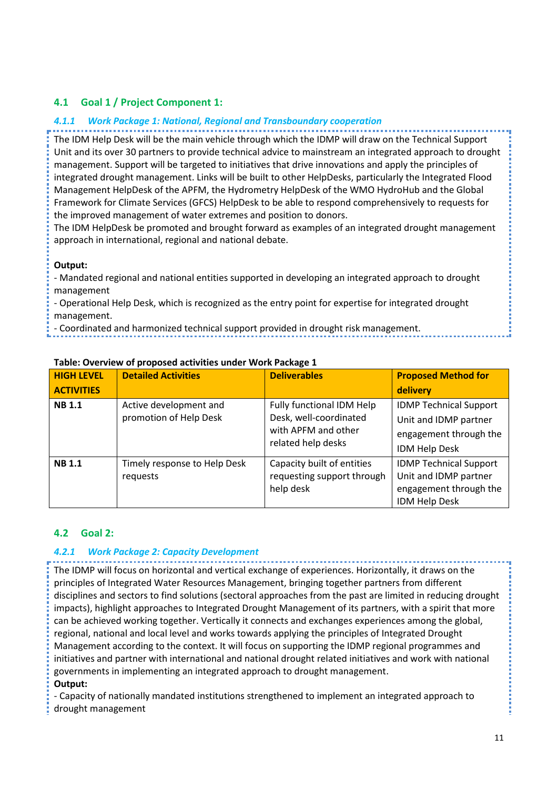## <span id="page-10-0"></span>**4.1 Goal 1 / Project Component 1:**

#### <span id="page-10-1"></span>*4.1.1 Work Package 1: National, Regional and Transboundary cooperation*

The IDM Help Desk will be the main vehicle through which the IDMP will draw on the Technical Support Unit and its over 30 partners to provide technical advice to mainstream an integrated approach to drought management. Support will be targeted to initiatives that drive innovations and apply the principles of integrated drought management. Links will be built to other HelpDesks, particularly the Integrated Flood Management HelpDesk of the APFM, the Hydrometry HelpDesk of the WMO HydroHub and the Global Framework for Climate Services (GFCS) HelpDesk to be able to respond comprehensively to requests for the improved management of water extremes and position to donors.

The IDM HelpDesk be promoted and brought forward as examples of an integrated drought management approach in international, regional and national debate.

#### **Output:**

- Mandated regional and national entities supported in developing an integrated approach to drought management

- Operational Help Desk, which is recognized as the entry point for expertise for integrated drought management.

- Coordinated and harmonized technical support provided in drought risk management.

| <b>HIGH LEVEL</b> | <b>Detailed Activities</b>                       | <b>Deliverables</b>                                                                              | <b>Proposed Method for</b>                                                                               |
|-------------------|--------------------------------------------------|--------------------------------------------------------------------------------------------------|----------------------------------------------------------------------------------------------------------|
| <b>ACTIVITIES</b> |                                                  |                                                                                                  | delivery                                                                                                 |
| <b>NB1.1</b>      | Active development and<br>promotion of Help Desk | Fully functional IDM Help<br>Desk, well-coordinated<br>with APFM and other<br>related help desks | <b>IDMP Technical Support</b><br>Unit and IDMP partner<br>engagement through the<br>IDM Help Desk        |
| <b>NB1.1</b>      | Timely response to Help Desk<br>requests         | Capacity built of entities<br>requesting support through<br>help desk                            | <b>IDMP Technical Support</b><br>Unit and IDMP partner<br>engagement through the<br><b>IDM Help Desk</b> |

#### **Table: Overview of proposed activities under Work Package 1**

## <span id="page-10-2"></span>**4.2 Goal 2:**

#### <span id="page-10-3"></span>*4.2.1 Work Package 2: Capacity Development*

The IDMP will focus on horizontal and vertical exchange of experiences. Horizontally, it draws on the principles of Integrated Water Resources Management, bringing together partners from different disciplines and sectors to find solutions (sectoral approaches from the past are limited in reducing drought impacts), highlight approaches to Integrated Drought Management of its partners, with a spirit that more can be achieved working together. Vertically it connects and exchanges experiences among the global, regional, national and local level and works towards applying the principles of Integrated Drought Management according to the context. It will focus on supporting the IDMP regional programmes and initiatives and partner with international and national drought related initiatives and work with national governments in implementing an integrated approach to drought management.

#### **Output:**

- Capacity of nationally mandated institutions strengthened to implement an integrated approach to drought management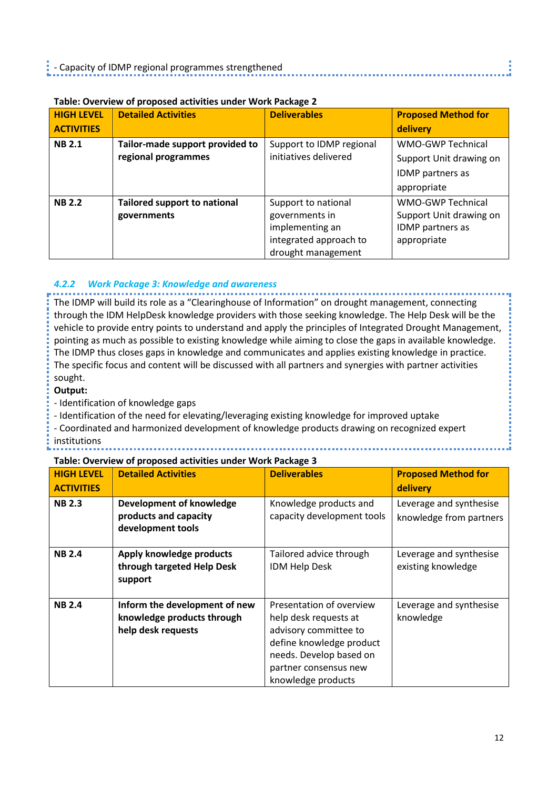| <b>HIGH LEVEL</b> | <b>Detailed Activities</b>          | <b>Deliverables</b>      | <b>Proposed Method for</b>                          |  |
|-------------------|-------------------------------------|--------------------------|-----------------------------------------------------|--|
| <b>ACTIVITIES</b> |                                     |                          | delivery                                            |  |
| <b>NB 2.1</b>     | Tailor-made support provided to     | Support to IDMP regional | <b>WMO-GWP Technical</b><br>Support Unit drawing on |  |
|                   | regional programmes                 | initiatives delivered    |                                                     |  |
|                   |                                     |                          | IDMP partners as                                    |  |
|                   |                                     |                          | appropriate                                         |  |
| <b>NB 2.2</b>     | <b>Tailored support to national</b> | Support to national      | <b>WMO-GWP Technical</b>                            |  |
|                   | governments                         | governments in           | Support Unit drawing on                             |  |
|                   |                                     | implementing an          | IDMP partners as                                    |  |
|                   |                                     | integrated approach to   | appropriate                                         |  |
|                   |                                     | drought management       |                                                     |  |

## **Table: Overview of proposed activities under Work Package 2**

## <span id="page-11-0"></span>*4.2.2 Work Package 3: Knowledge and awareness*

The IDMP will build its role as a "Clearinghouse of Information" on drought management, connecting through the IDM HelpDesk knowledge providers with those seeking knowledge. The Help Desk will be the vehicle to provide entry points to understand and apply the principles of Integrated Drought Management, pointing as much as possible to existing knowledge while aiming to close the gaps in available knowledge. The IDMP thus closes gaps in knowledge and communicates and applies existing knowledge in practice. The specific focus and content will be discussed with all partners and synergies with partner activities sought.

#### **Output:**

- Identification of knowledge gaps

- Identification of the need for elevating/leveraging existing knowledge for improved uptake

- Coordinated and harmonized development of knowledge products drawing on recognized expert institutions

#### **Table: Overview of proposed activities under Work Package 3**

| <b>HIGH LEVEL</b> | <b>Detailed Activities</b>                                                        | <b>Deliverables</b>                                                                                                                                                              | <b>Proposed Method for</b>                         |  |
|-------------------|-----------------------------------------------------------------------------------|----------------------------------------------------------------------------------------------------------------------------------------------------------------------------------|----------------------------------------------------|--|
| <b>ACTIVITIES</b> |                                                                                   |                                                                                                                                                                                  | delivery                                           |  |
| <b>NB 2.3</b>     | Development of knowledge<br>products and capacity<br>development tools            | Knowledge products and<br>capacity development tools                                                                                                                             | Leverage and synthesise<br>knowledge from partners |  |
| <b>NB 2.4</b>     | Apply knowledge products<br>through targeted Help Desk<br>support                 | Tailored advice through<br><b>IDM Help Desk</b>                                                                                                                                  | Leverage and synthesise<br>existing knowledge      |  |
| <b>NB2.4</b>      | Inform the development of new<br>knowledge products through<br>help desk requests | Presentation of overview<br>help desk requests at<br>advisory committee to<br>define knowledge product<br>needs. Develop based on<br>partner consensus new<br>knowledge products | Leverage and synthesise<br>knowledge               |  |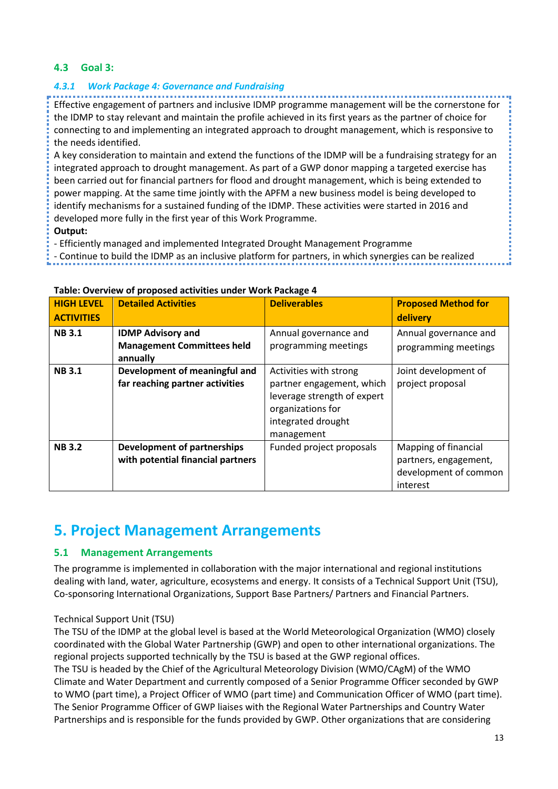## <span id="page-12-0"></span>**4.3 Goal 3:**

## <span id="page-12-1"></span>*4.3.1 Work Package 4: Governance and Fundraising*

Effective engagement of partners and inclusive IDMP programme management will be the cornerstone for the IDMP to stay relevant and maintain the profile achieved in its first years as the partner of choice for connecting to and implementing an integrated approach to drought management, which is responsive to the needs identified.

A key consideration to maintain and extend the functions of the IDMP will be a fundraising strategy for an integrated approach to drought management. As part of a GWP donor mapping a targeted exercise has been carried out for financial partners for flood and drought management, which is being extended to power mapping. At the same time jointly with the APFM a new business model is being developed to identify mechanisms for a sustained funding of the IDMP. These activities were started in 2016 and developed more fully in the first year of this Work Programme.

## **Output:**

- Efficiently managed and implemented Integrated Drought Management Programme

- Continue to build the IDMP as an inclusive platform for partners, in which synergies can be realized

| <b>HIGH LEVEL</b><br><b>ACTIVITIES</b> | <b>Detailed Activities</b>                                                | <b>Deliverables</b>                                                                                                                         | <b>Proposed Method for</b><br>delivery                                             |
|----------------------------------------|---------------------------------------------------------------------------|---------------------------------------------------------------------------------------------------------------------------------------------|------------------------------------------------------------------------------------|
| <b>NB3.1</b>                           | <b>IDMP Advisory and</b><br><b>Management Committees held</b><br>annually | Annual governance and<br>programming meetings                                                                                               | Annual governance and<br>programming meetings                                      |
| <b>NB3.1</b>                           | Development of meaningful and<br>far reaching partner activities          | Activities with strong<br>partner engagement, which<br>leverage strength of expert<br>organizations for<br>integrated drought<br>management | Joint development of<br>project proposal                                           |
| <b>NB3.2</b>                           | <b>Development of partnerships</b><br>with potential financial partners   | Funded project proposals                                                                                                                    | Mapping of financial<br>partners, engagement,<br>development of common<br>interest |

#### **Table: Overview of proposed activities under Work Package 4**

## <span id="page-12-2"></span>**5. Project Management Arrangements**

## <span id="page-12-3"></span>**5.1 Management Arrangements**

The programme is implemented in collaboration with the major international and regional institutions dealing with land, water, agriculture, ecosystems and energy. It consists of a Technical Support Unit (TSU), Co-sponsoring International Organizations, Support Base Partners/ Partners and Financial Partners.

## Technical Support Unit (TSU)

The TSU of the IDMP at the global level is based at the World Meteorological Organization (WMO) closely coordinated with the Global Water Partnership (GWP) and open to other international organizations. The regional projects supported technically by the TSU is based at the GWP regional offices. The TSU is headed by the Chief of the Agricultural Meteorology Division (WMO/CAgM) of the WMO Climate and Water Department and currently composed of a Senior Programme Officer seconded by GWP to WMO (part time), a Project Officer of WMO (part time) and Communication Officer of WMO (part time). The Senior Programme Officer of GWP liaises with the Regional Water Partnerships and Country Water Partnerships and is responsible for the funds provided by GWP. Other organizations that are considering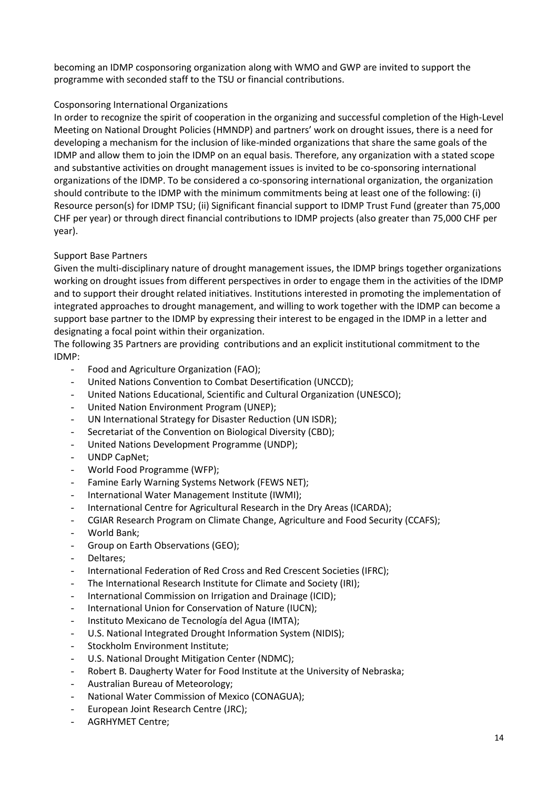becoming an IDMP cosponsoring organization along with WMO and GWP are invited to support the programme with seconded staff to the TSU or financial contributions.

#### Cosponsoring International Organizations

In order to recognize the spirit of cooperation in the organizing and successful completion of the High-Level Meeting on National Drought Policies (HMNDP) and partners' work on drought issues, there is a need for developing a mechanism for the inclusion of like-minded organizations that share the same goals of the IDMP and allow them to join the IDMP on an equal basis. Therefore, any organization with a stated scope and substantive activities on drought management issues is invited to be co-sponsoring international organizations of the IDMP. To be considered a co-sponsoring international organization, the organization should contribute to the IDMP with the minimum commitments being at least one of the following: (i) Resource person(s) for IDMP TSU; (ii) Significant financial support to IDMP Trust Fund (greater than 75,000 CHF per year) or through direct financial contributions to IDMP projects (also greater than 75,000 CHF per year).

## Support Base Partners

Given the multi-disciplinary nature of drought management issues, the IDMP brings together organizations working on drought issues from different perspectives in order to engage them in the activities of the IDMP and to support their drought related initiatives. Institutions interested in promoting the implementation of integrated approaches to drought management, and willing to work together with the IDMP can become a support base partner to the IDMP by expressing their interest to be engaged in the IDMP in a letter and designating a focal point within their organization.

The following 35 Partners are providing contributions and an explicit institutional commitment to the IDMP:

- Food and Agriculture Organization (FAO);
- United Nations Convention to Combat Desertification (UNCCD);
- United Nations Educational, Scientific and Cultural Organization (UNESCO);
- United Nation Environment Program (UNEP);
- UN International Strategy for Disaster Reduction (UN ISDR);
- Secretariat of the Convention on Biological Diversity (CBD);
- United Nations Development Programme (UNDP);
- UNDP CapNet:
- World Food Programme (WFP);
- Famine Early Warning Systems Network (FEWS NET);
- International Water Management Institute (IWMI);
- International Centre for Agricultural Research in the Dry Areas (ICARDA);
- CGIAR Research Program on Climate Change, Agriculture and Food Security (CCAFS);
- World Bank;
- Group on Earth Observations (GEO);
- Deltares;
- International Federation of Red Cross and Red Crescent Societies (IFRC);
- The International Research Institute for Climate and Society (IRI);
- International Commission on Irrigation and Drainage (ICID);
- International Union for Conservation of Nature (IUCN);
- Instituto Mexicano de Tecnología del Agua (IMTA);
- U.S. National Integrated Drought Information System (NIDIS);
- Stockholm Environment Institute:
- U.S. National Drought Mitigation Center (NDMC);
- Robert B. Daugherty Water for Food Institute at the University of Nebraska;
- Australian Bureau of Meteorology;
- National Water Commission of Mexico (CONAGUA);
- European Joint Research Centre (JRC);
- AGRHYMET Centre;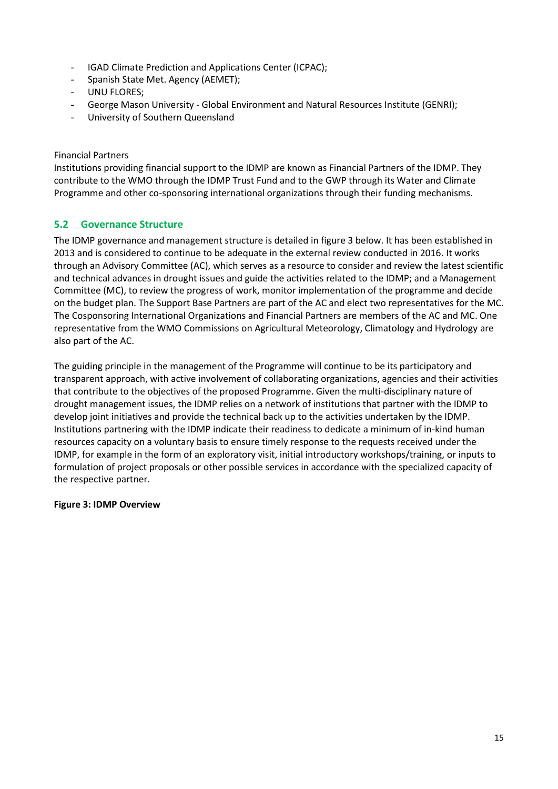- IGAD Climate Prediction and Applications Center (ICPAC);
- Spanish State Met. Agency (AEMET);
- UNU FLORES;
- George Mason University Global Environment and Natural Resources Institute (GENRI);
- University of Southern Queensland

Financial Partners

Institutions providing financial support to the IDMP are known as Financial Partners of the IDMP. They contribute to the WMO through the IDMP Trust Fund and to the GWP through its Water and Climate Programme and other co-sponsoring international organizations through their funding mechanisms.

## <span id="page-14-0"></span>**5.2 Governance Structure**

The IDMP governance and management structure is detailed in figure 3 below. It has been established in 2013 and is considered to continue to be adequate in the external review conducted in 2016. It works through an Advisory Committee (AC), which serves as a resource to consider and review the latest scientific and technical advances in drought issues and guide the activities related to the IDMP; and a Management Committee (MC), to review the progress of work, monitor implementation of the programme and decide on the budget plan. The Support Base Partners are part of the AC and elect two representatives for the MC. The Cosponsoring International Organizations and Financial Partners are members of the AC and MC. One representative from the WMO Commissions on Agricultural Meteorology, Climatology and Hydrology are also part of the AC.

The guiding principle in the management of the Programme will continue to be its participatory and transparent approach, with active involvement of collaborating organizations, agencies and their activities that contribute to the objectives of the proposed Programme. Given the multi-disciplinary nature of drought management issues, the IDMP relies on a network of institutions that partner with the IDMP to develop joint initiatives and provide the technical back up to the activities undertaken by the IDMP. Institutions partnering with the IDMP indicate their readiness to dedicate a minimum of in-kind human resources capacity on a voluntary basis to ensure timely response to the requests received under the IDMP, for example in the form of an exploratory visit, initial introductory workshops/training, or inputs to formulation of project proposals or other possible services in accordance with the specialized capacity of the respective partner.

## **Figure 3: IDMP Overview**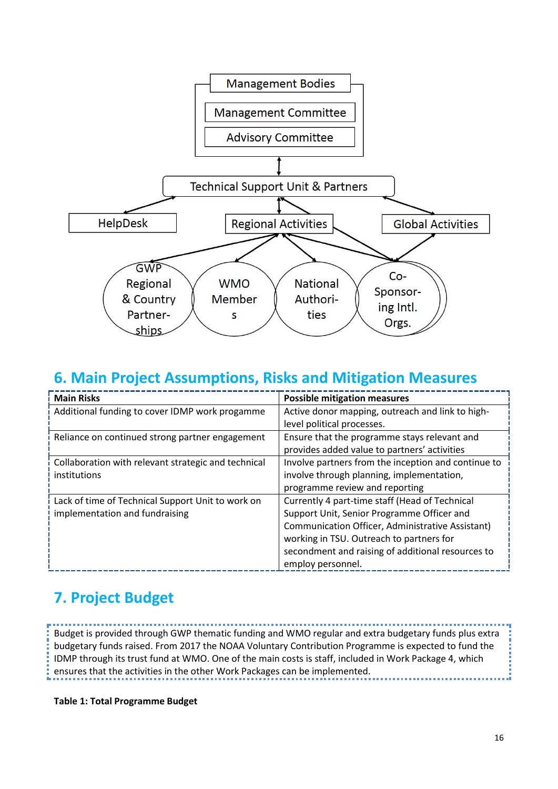

## <span id="page-15-0"></span>**6. Main Project Assumptions, Risks and Mitigation Measures**

| <b>Main Risks</b>                                   | <b>Possible mitigation measures</b>                 |  |  |
|-----------------------------------------------------|-----------------------------------------------------|--|--|
| Additional funding to cover IDMP work progamme      | Active donor mapping, outreach and link to high-    |  |  |
|                                                     | level political processes.                          |  |  |
| Reliance on continued strong partner engagement     | Ensure that the programme stays relevant and        |  |  |
|                                                     | provides added value to partners' activities        |  |  |
| Collaboration with relevant strategic and technical | Involve partners from the inception and continue to |  |  |
| institutions                                        | involve through planning, implementation,           |  |  |
|                                                     | programme review and reporting                      |  |  |
| Lack of time of Technical Support Unit to work on   | Currently 4 part-time staff (Head of Technical      |  |  |
| implementation and fundraising                      | Support Unit, Senior Programme Officer and          |  |  |
|                                                     | Communication Officer, Administrative Assistant)    |  |  |
|                                                     | working in TSU. Outreach to partners for            |  |  |
|                                                     | secondment and raising of additional resources to   |  |  |
|                                                     | employ personnel.                                   |  |  |

# <span id="page-15-1"></span>**7. Project Budget**

Budget is provided through GWP thematic funding and WMO regular and extra budgetary funds plus extra budgetary funds raised. From 2017 the NOAA Voluntary Contribution Programme is expected to fund the IDMP through its trust fund at WMO. One of the main costs is staff, included in Work Package 4, which ensures that the activities in the other Work Packages can be implemented.

**Table 1: Total Programme Budget**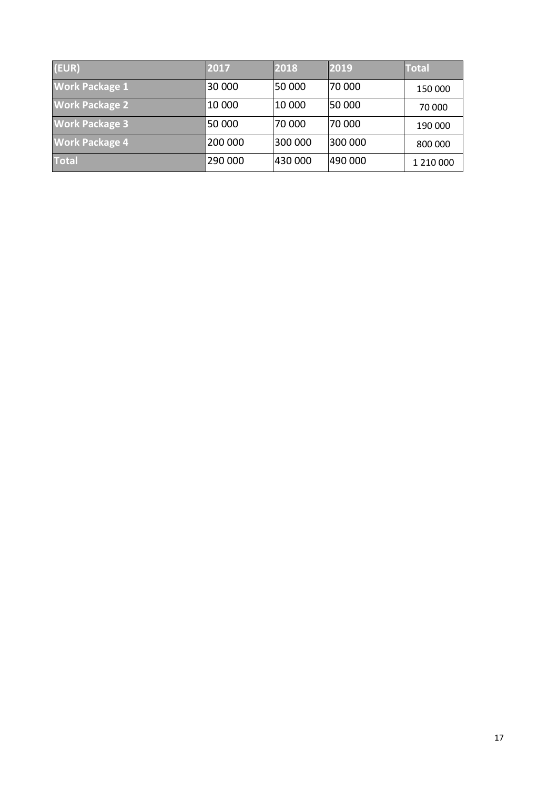| (EUR)                 | 2017    | 2018    | 2019    | <b>Total</b> |
|-----------------------|---------|---------|---------|--------------|
| <b>Work Package 1</b> | 30 000  | 50 000  | 70 000  | 150 000      |
| <b>Work Package 2</b> | 10 000  | 10 000  | 50 000  | 70 000       |
| <b>Work Package 3</b> | 50 000  | 70 000  | 70 000  | 190 000      |
| <b>Work Package 4</b> | 200 000 | 300 000 | 300 000 | 800 000      |
| <b>Total</b>          | 290 000 | 430 000 | 490 000 | 1 210 000    |